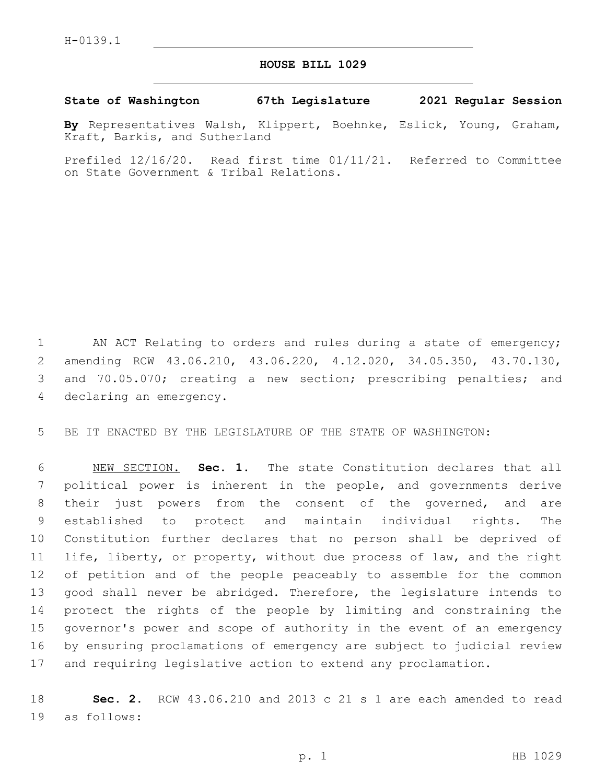## **HOUSE BILL 1029**

**State of Washington 67th Legislature 2021 Regular Session**

**By** Representatives Walsh, Klippert, Boehnke, Eslick, Young, Graham, Kraft, Barkis, and Sutherland

Prefiled 12/16/20. Read first time 01/11/21. Referred to Committee on State Government & Tribal Relations.

1 AN ACT Relating to orders and rules during a state of emergency; 2 amending RCW 43.06.210, 43.06.220, 4.12.020, 34.05.350, 43.70.130, 3 and 70.05.070; creating a new section; prescribing penalties; and 4 declaring an emergency.

5 BE IT ENACTED BY THE LEGISLATURE OF THE STATE OF WASHINGTON:

 NEW SECTION. **Sec. 1.** The state Constitution declares that all political power is inherent in the people, and governments derive their just powers from the consent of the governed, and are established to protect and maintain individual rights. The Constitution further declares that no person shall be deprived of life, liberty, or property, without due process of law, and the right of petition and of the people peaceably to assemble for the common good shall never be abridged. Therefore, the legislature intends to protect the rights of the people by limiting and constraining the governor's power and scope of authority in the event of an emergency by ensuring proclamations of emergency are subject to judicial review and requiring legislative action to extend any proclamation.

18 **Sec. 2.** RCW 43.06.210 and 2013 c 21 s 1 are each amended to read 19 as follows: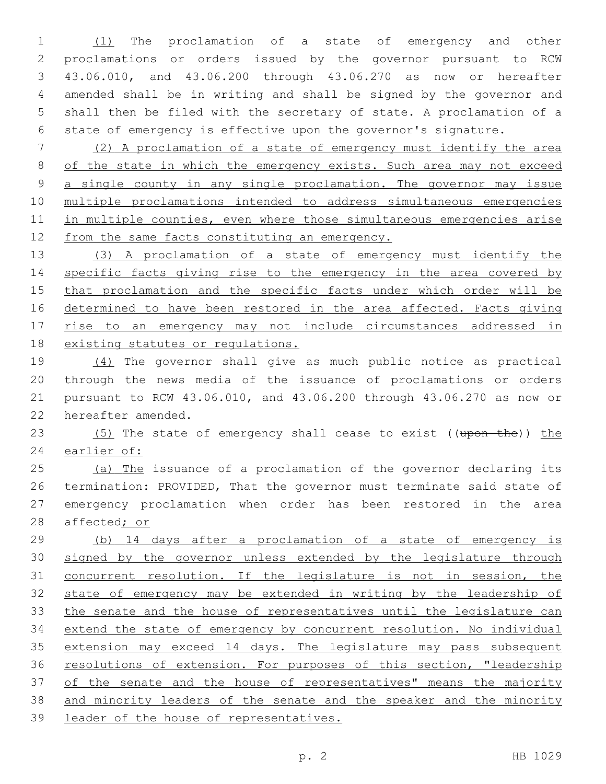(1) The proclamation of a state of emergency and other proclamations or orders issued by the governor pursuant to RCW 43.06.010, and 43.06.200 through 43.06.270 as now or hereafter amended shall be in writing and shall be signed by the governor and shall then be filed with the secretary of state. A proclamation of a state of emergency is effective upon the governor's signature.

 (2) A proclamation of a state of emergency must identify the area 8 of the state in which the emergency exists. Such area may not exceed 9 a single county in any single proclamation. The governor may issue multiple proclamations intended to address simultaneous emergencies in multiple counties, even where those simultaneous emergencies arise 12 from the same facts constituting an emergency.

 (3) A proclamation of a state of emergency must identify the 14 specific facts giving rise to the emergency in the area covered by 15 that proclamation and the specific facts under which order will be 16 determined to have been restored in the area affected. Facts giving rise to an emergency may not include circumstances addressed in existing statutes or regulations.

 (4) The governor shall give as much public notice as practical through the news media of the issuance of proclamations or orders pursuant to RCW 43.06.010, and 43.06.200 through 43.06.270 as now or 22 hereafter amended.

23 (5) The state of emergency shall cease to exist ((upon the)) the earlier of:

25 (a) The issuance of a proclamation of the governor declaring its termination: PROVIDED, That the governor must terminate said state of emergency proclamation when order has been restored in the area 28 affected; or

 (b) 14 days after a proclamation of a state of emergency is 30 signed by the governor unless extended by the legislature through concurrent resolution. If the legislature is not in session, the state of emergency may be extended in writing by the leadership of 33 the senate and the house of representatives until the legislature can extend the state of emergency by concurrent resolution. No individual extension may exceed 14 days. The legislature may pass subsequent 36 resolutions of extension. For purposes of this section, "leadership 37 of the senate and the house of representatives" means the majority and minority leaders of the senate and the speaker and the minority leader of the house of representatives.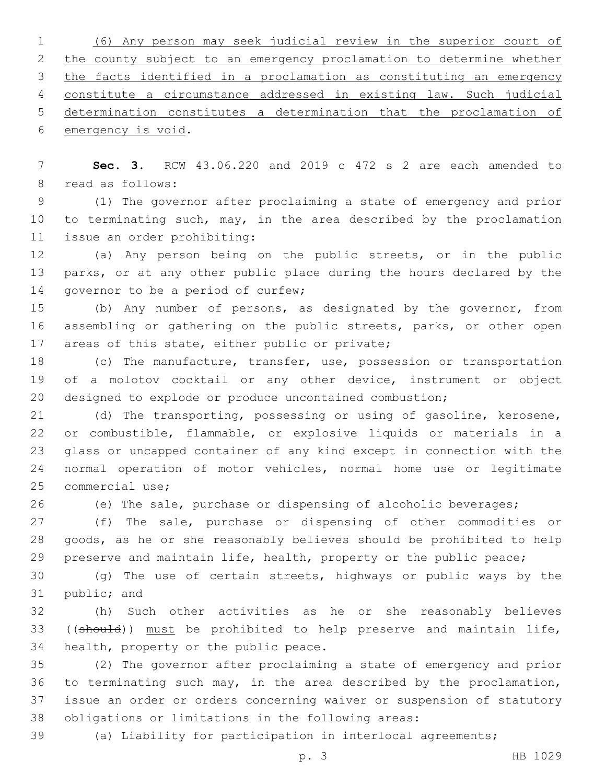(6) Any person may seek judicial review in the superior court of 2 the county subject to an emergency proclamation to determine whether the facts identified in a proclamation as constituting an emergency constitute a circumstance addressed in existing law. Such judicial determination constitutes a determination that the proclamation of 6 emergency is void.

 **Sec. 3.** RCW 43.06.220 and 2019 c 472 s 2 are each amended to 8 read as follows:

 (1) The governor after proclaiming a state of emergency and prior 10 to terminating such, may, in the area described by the proclamation 11 issue an order prohibiting:

 (a) Any person being on the public streets, or in the public parks, or at any other public place during the hours declared by the 14 governor to be a period of curfew;

 (b) Any number of persons, as designated by the governor, from assembling or gathering on the public streets, parks, or other open 17 areas of this state, either public or private;

 (c) The manufacture, transfer, use, possession or transportation of a molotov cocktail or any other device, instrument or object designed to explode or produce uncontained combustion;

 (d) The transporting, possessing or using of gasoline, kerosene, or combustible, flammable, or explosive liquids or materials in a glass or uncapped container of any kind except in connection with the normal operation of motor vehicles, normal home use or legitimate 25 commercial use:

(e) The sale, purchase or dispensing of alcoholic beverages;

 (f) The sale, purchase or dispensing of other commodities or goods, as he or she reasonably believes should be prohibited to help 29 preserve and maintain life, health, property or the public peace;

 (g) The use of certain streets, highways or public ways by the 31 public; and

 (h) Such other activities as he or she reasonably believes 33 ((should)) must be prohibited to help preserve and maintain life, 34 health, property or the public peace.

 (2) The governor after proclaiming a state of emergency and prior to terminating such may, in the area described by the proclamation, issue an order or orders concerning waiver or suspension of statutory obligations or limitations in the following areas:

(a) Liability for participation in interlocal agreements;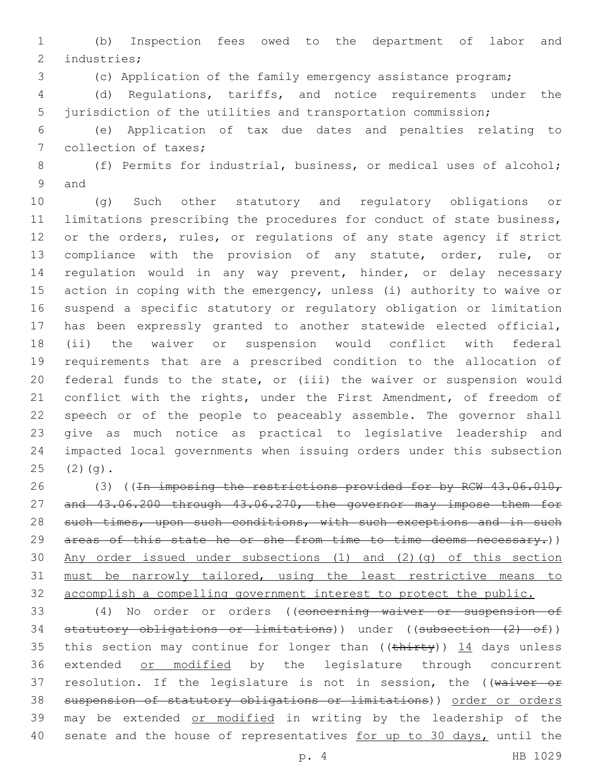(b) Inspection fees owed to the department of labor and 2 industries;

(c) Application of the family emergency assistance program;

 (d) Regulations, tariffs, and notice requirements under the jurisdiction of the utilities and transportation commission;

 (e) Application of tax due dates and penalties relating to 7 collection of taxes;

8 (f) Permits for industrial, business, or medical uses of alcohol; 9 and

 (g) Such other statutory and regulatory obligations or limitations prescribing the procedures for conduct of state business, or the orders, rules, or regulations of any state agency if strict compliance with the provision of any statute, order, rule, or regulation would in any way prevent, hinder, or delay necessary action in coping with the emergency, unless (i) authority to waive or suspend a specific statutory or regulatory obligation or limitation has been expressly granted to another statewide elected official, (ii) the waiver or suspension would conflict with federal requirements that are a prescribed condition to the allocation of federal funds to the state, or (iii) the waiver or suspension would 21 conflict with the rights, under the First Amendment, of freedom of speech or of the people to peaceably assemble. The governor shall give as much notice as practical to legislative leadership and impacted local governments when issuing orders under this subsection  $(2)(q)$ .

26 (3) ((In imposing the restrictions provided for by RCW 43.06.010, and 43.06.200 through 43.06.270, the governor may impose them for 28 such times, upon such conditions, with such exceptions and in such 29 areas of this state he or she from time to time deems necessary.)) Any order issued under subsections (1) and (2)(g) of this section must be narrowly tailored, using the least restrictive means to accomplish a compelling government interest to protect the public.

 (4) No order or orders ((concerning waiver or suspension of 34 statutory obligations or limitations)) under ((subsection  $(2)$  of)) 35 this section may continue for longer than (( $\frac{thitty}{14}$  days unless 36 extended or modified by the legislature through concurrent 37 resolution. If the legislature is not in session, the ((waiver or suspension of statutory obligations or limitations)) order or orders may be extended or modified in writing by the leadership of the 40 senate and the house of representatives for up to 30 days, until the

p. 4 HB 1029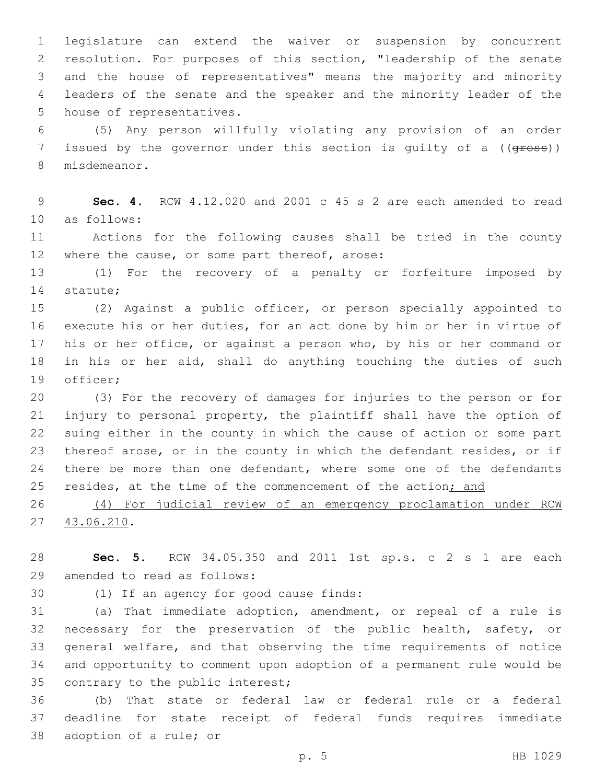legislature can extend the waiver or suspension by concurrent resolution. For purposes of this section, "leadership of the senate and the house of representatives" means the majority and minority leaders of the senate and the speaker and the minority leader of the 5 house of representatives.

 (5) Any person willfully violating any provision of an order 7 issued by the governor under this section is quilty of a ((gross)) 8 misdemeanor.

 **Sec. 4.** RCW 4.12.020 and 2001 c 45 s 2 are each amended to read 10 as follows:

 Actions for the following causes shall be tried in the county 12 where the cause, or some part thereof, arose:

 (1) For the recovery of a penalty or forfeiture imposed by 14 statute;

 (2) Against a public officer, or person specially appointed to execute his or her duties, for an act done by him or her in virtue of his or her office, or against a person who, by his or her command or in his or her aid, shall do anything touching the duties of such 19 officer;

 (3) For the recovery of damages for injuries to the person or for injury to personal property, the plaintiff shall have the option of suing either in the county in which the cause of action or some part thereof arose, or in the county in which the defendant resides, or if 24 there be more than one defendant, where some one of the defendants 25 resides, at the time of the commencement of the action; and

 (4) For judicial review of an emergency proclamation under RCW 27 43.06.210.

 **Sec. 5.** RCW 34.05.350 and 2011 1st sp.s. c 2 s 1 are each 29 amended to read as follows:

30 (1) If an agency for good cause finds:

 (a) That immediate adoption, amendment, or repeal of a rule is necessary for the preservation of the public health, safety, or general welfare, and that observing the time requirements of notice and opportunity to comment upon adoption of a permanent rule would be 35 contrary to the public interest;

 (b) That state or federal law or federal rule or a federal deadline for state receipt of federal funds requires immediate 38 adoption of a rule; or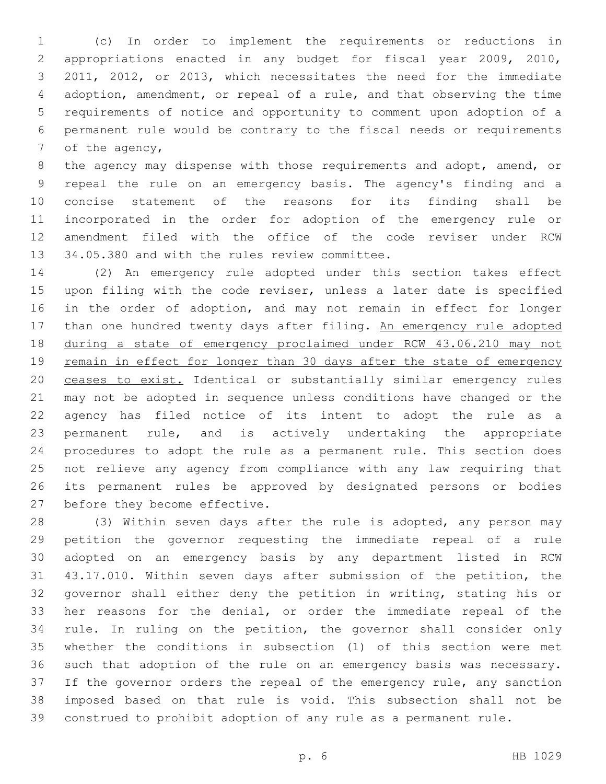(c) In order to implement the requirements or reductions in appropriations enacted in any budget for fiscal year 2009, 2010, 2011, 2012, or 2013, which necessitates the need for the immediate adoption, amendment, or repeal of a rule, and that observing the time requirements of notice and opportunity to comment upon adoption of a permanent rule would be contrary to the fiscal needs or requirements of the agency,

 the agency may dispense with those requirements and adopt, amend, or repeal the rule on an emergency basis. The agency's finding and a concise statement of the reasons for its finding shall be incorporated in the order for adoption of the emergency rule or amendment filed with the office of the code reviser under RCW 13 34.05.380 and with the rules review committee.

 (2) An emergency rule adopted under this section takes effect upon filing with the code reviser, unless a later date is specified in the order of adoption, and may not remain in effect for longer 17 than one hundred twenty days after filing. An emergency rule adopted during a state of emergency proclaimed under RCW 43.06.210 may not 19 remain in effect for longer than 30 days after the state of emergency ceases to exist. Identical or substantially similar emergency rules may not be adopted in sequence unless conditions have changed or the agency has filed notice of its intent to adopt the rule as a permanent rule, and is actively undertaking the appropriate procedures to adopt the rule as a permanent rule. This section does not relieve any agency from compliance with any law requiring that its permanent rules be approved by designated persons or bodies 27 before they become effective.

28 (3) Within seven days after the rule is adopted, any person may petition the governor requesting the immediate repeal of a rule adopted on an emergency basis by any department listed in RCW 43.17.010. Within seven days after submission of the petition, the governor shall either deny the petition in writing, stating his or her reasons for the denial, or order the immediate repeal of the rule. In ruling on the petition, the governor shall consider only whether the conditions in subsection (1) of this section were met such that adoption of the rule on an emergency basis was necessary. 37 If the governor orders the repeal of the emergency rule, any sanction imposed based on that rule is void. This subsection shall not be construed to prohibit adoption of any rule as a permanent rule.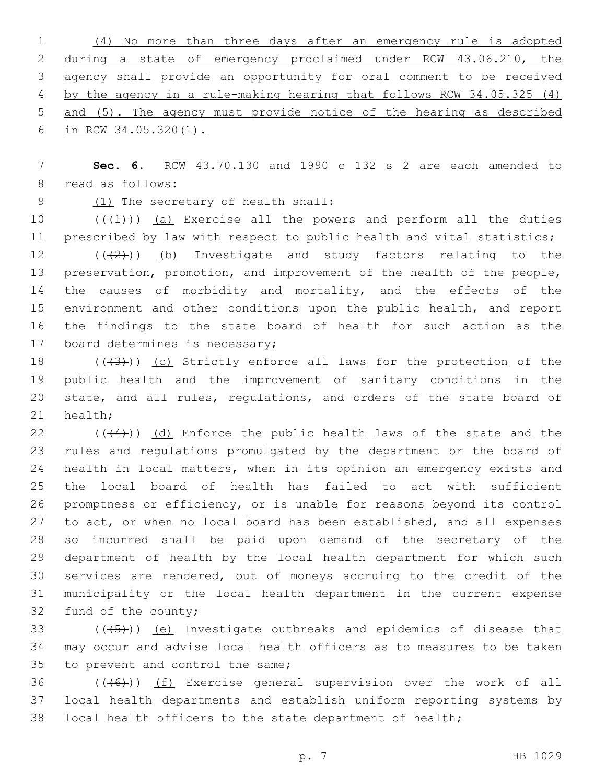(4) No more than three days after an emergency rule is adopted during a state of emergency proclaimed under RCW 43.06.210, the agency shall provide an opportunity for oral comment to be received by the agency in a rule-making hearing that follows RCW 34.05.325 (4) and (5). The agency must provide notice of the hearing as described in RCW 34.05.320(1).

 **Sec. 6.** RCW 43.70.130 and 1990 c 132 s 2 are each amended to 8 read as follows:

9 (1) The secretary of health shall:

10  $((+1))$  (a) Exercise all the powers and perform all the duties 11 prescribed by law with respect to public health and vital statistics;

 (( $(2)$ )) (b) Investigate and study factors relating to the preservation, promotion, and improvement of the health of the people, 14 the causes of morbidity and mortality, and the effects of the environment and other conditions upon the public health, and report the findings to the state board of health for such action as the 17 board determines is necessary;

 $((+3+))$  (c) Strictly enforce all laws for the protection of the public health and the improvement of sanitary conditions in the state, and all rules, regulations, and orders of the state board of 21 health;

 $((44))$   $(d)$  Enforce the public health laws of the state and the rules and regulations promulgated by the department or the board of health in local matters, when in its opinion an emergency exists and the local board of health has failed to act with sufficient promptness or efficiency, or is unable for reasons beyond its control to act, or when no local board has been established, and all expenses so incurred shall be paid upon demand of the secretary of the department of health by the local health department for which such services are rendered, out of moneys accruing to the credit of the municipality or the local health department in the current expense 32 fund of the county;

 $(1+5)$ ) (e) Investigate outbreaks and epidemics of disease that may occur and advise local health officers as to measures to be taken 35 to prevent and control the same;

36  $((+6+))$  (f) Exercise general supervision over the work of all local health departments and establish uniform reporting systems by local health officers to the state department of health;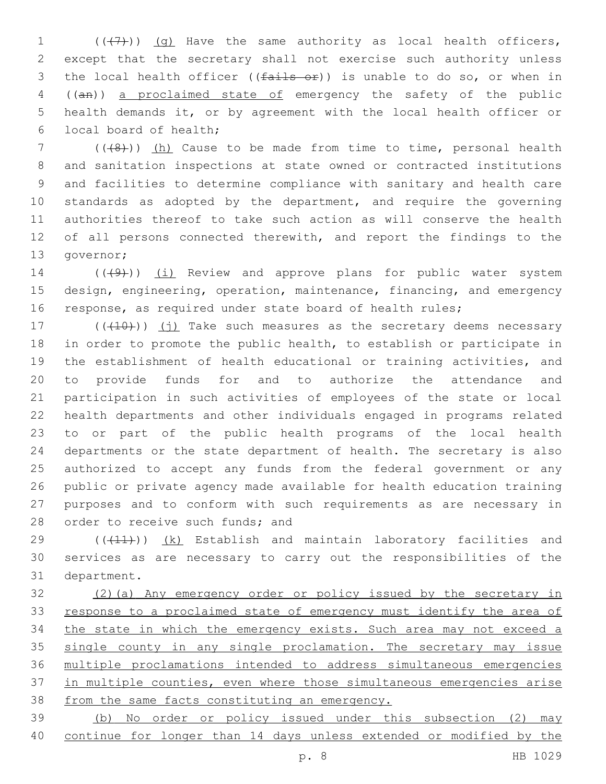$((+7)$ ) (g) Have the same authority as local health officers, except that the secretary shall not exercise such authority unless 3 the local health officer ((fails or)) is unable to do so, or when in ((an)) a proclaimed state of emergency the safety of the public health demands it, or by agreement with the local health officer or 6 local board of health;

 ( $(\overline{8})$ ) (h) Cause to be made from time to time, personal health and sanitation inspections at state owned or contracted institutions and facilities to determine compliance with sanitary and health care 10 standards as adopted by the department, and require the governing authorities thereof to take such action as will conserve the health 12 of all persons connected therewith, and report the findings to the 13 governor;

14 (((49))) (i) Review and approve plans for public water system design, engineering, operation, maintenance, financing, and emergency response, as required under state board of health rules;

 (( $(410)$ )) (j) Take such measures as the secretary deems necessary in order to promote the public health, to establish or participate in the establishment of health educational or training activities, and to provide funds for and to authorize the attendance and participation in such activities of employees of the state or local health departments and other individuals engaged in programs related to or part of the public health programs of the local health departments or the state department of health. The secretary is also authorized to accept any funds from the federal government or any public or private agency made available for health education training purposes and to conform with such requirements as are necessary in 28 order to receive such funds; and

 $((+11))$  (k) Establish and maintain laboratory facilities and services as are necessary to carry out the responsibilities of the 31 department.

 (2)(a) Any emergency order or policy issued by the secretary in response to a proclaimed state of emergency must identify the area of the state in which the emergency exists. Such area may not exceed a 35 single county in any single proclamation. The secretary may issue multiple proclamations intended to address simultaneous emergencies in multiple counties, even where those simultaneous emergencies arise from the same facts constituting an emergency.

 (b) No order or policy issued under this subsection (2) may continue for longer than 14 days unless extended or modified by the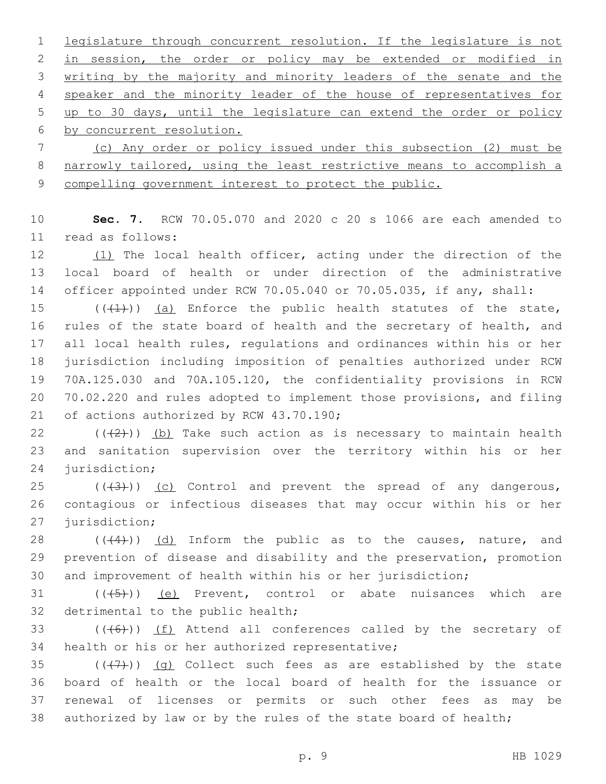legislature through concurrent resolution. If the legislature is not in session, the order or policy may be extended or modified in writing by the majority and minority leaders of the senate and the speaker and the minority leader of the house of representatives for up to 30 days, until the legislature can extend the order or policy 6 by concurrent resolution.

 (c) Any order or policy issued under this subsection (2) must be narrowly tailored, using the least restrictive means to accomplish a 9 compelling government interest to protect the public.

 **Sec. 7.** RCW 70.05.070 and 2020 c 20 s 1066 are each amended to read as follows:11

12 (1) The local health officer, acting under the direction of the local board of health or under direction of the administrative officer appointed under RCW 70.05.040 or 70.05.035, if any, shall:

 $((+1)^{n})$  (a) Enforce the public health statutes of the state, rules of the state board of health and the secretary of health, and all local health rules, regulations and ordinances within his or her jurisdiction including imposition of penalties authorized under RCW 70A.125.030 and 70A.105.120, the confidentiality provisions in RCW 70.02.220 and rules adopted to implement those provisions, and filing 21 of actions authorized by RCW 43.70.190;

22  $((+2+))$  (b) Take such action as is necessary to maintain health and sanitation supervision over the territory within his or her 24 jurisdiction;

 ( $(\overline{+3})$ ) (c) Control and prevent the spread of any dangerous, contagious or infectious diseases that may occur within his or her 27 jurisdiction;

28  $((4)$ ) (d) Inform the public as to the causes, nature, and prevention of disease and disability and the preservation, promotion and improvement of health within his or her jurisdiction;

 ( $(\overline{(+5+)})$  (e) Prevent, control or abate nuisances which are 32 detrimental to the public health;

 $(1 + 6)$ ) (f) Attend all conferences called by the secretary of 34 health or his or her authorized representative;

 $((+7+))$  (g) Collect such fees as are established by the state board of health or the local board of health for the issuance or renewal of licenses or permits or such other fees as may be authorized by law or by the rules of the state board of health;